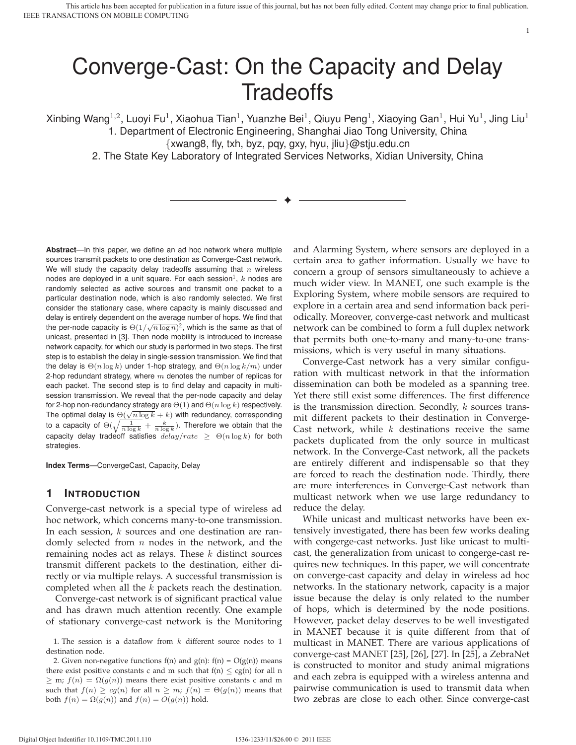# Converge-Cast: On the Capacity and Delay **Tradeoffs**

Xinbing Wang<sup>1,2</sup>, Luoyi Fu<sup>1</sup>, Xiaohua Tian<sup>1</sup>, Yuanzhe Bei<sup>1</sup>, Qiuyu Peng<sup>1</sup>, Xiaoying Gan<sup>1</sup>, Hui Yu<sup>1</sup>, Jing Liu<sup>1</sup> 1. Department of Electronic Engineering, Shanghai Jiao Tong University, China {xwang8, fly, txh, byz, pqy, gxy, hyu, jliu}@stju.edu.cn 2. The State Key Laboratory of Integrated Services Networks, Xidian University, China

✦

**Abstract**—In this paper, we define an ad hoc network where multiple sources transmit packets to one destination as Converge-Cast network. We will study the capacity delay tradeoffs assuming that  $n$  wireless nodes are deployed in a unit square. For each session<sup>1</sup>,  $k$  nodes are randomly selected as active sources and transmit one packet to a particular destination node, which is also randomly selected. We first consider the stationary case, where capacity is mainly discussed and delay is entirely dependent on the average number of hops. We find that the per-node capacity is  $\Theta(1/\sqrt{n \log n})^2$ , which is the same as that of unicast, presented in [3]. Then node mobility is introduced to increase network capacity, for which our study is performed in two steps. The first step is to establish the delay in single-session transmission. We find that the delay is  $\Theta(n \log k)$  under 1-hop strategy, and  $\Theta(n \log k/m)$  under 2-hop redundant strategy, where  $m$  denotes the number of replicas for each packet. The second step is to find delay and capacity in multisession transmission. We reveal that the per-node capacity and delay for 2-hop non-redundancy strategy are  $\Theta(1)$  and  $\Theta(n \log k)$  respectively. The optimal delay is  $\Theta(\sqrt{n \log k} + k)$  with redundancy, corresponding to a capacity of  $\Theta(\sqrt{\frac{1}{n \log k}} + \frac{1}{n \log k})$ . Therefore we obtain that the capacity delay tradeoff satisfies  $delay/rate \ge \Theta(n \log k)$  for both strategies.

**Index Terms**—ConvergeCast, Capacity, Delay

# **1 INTRODUCTION**

Converge-cast network is a special type of wireless ad hoc network, which concerns many-to-one transmission. In each session, k sources and one destination are randomly selected from  $n$  nodes in the network, and the remaining nodes act as relays. These  $k$  distinct sources transmit different packets to the destination, either directly or via multiple relays. A successful transmission is completed when all the  $k$  packets reach the destination.

Converge-cast network is of significant practical value and has drawn much attention recently. One example of stationary converge-cast network is the Monitoring

1. The session is a dataflow from  $k$  different source nodes to 1 destination node.

2. Given non-negative functions  $f(n)$  and  $g(n)$ :  $f(n) = O(g(n))$  means there exist positive constants c and m such that  $f(n) \leq cg(n)$  for all n  $\geq$  m;  $f(n) = \Omega(g(n))$  means there exist positive constants c and m such that  $f(n) \geq c g(n)$  for all  $n \geq m$ ;  $f(n) = \Theta(g(n))$  means that both  $f(n) = \Omega(g(n))$  and  $f(n) = O(g(n))$  hold.

and Alarming System, where sensors are deployed in a certain area to gather information. Usually we have to concern a group of sensors simultaneously to achieve a much wider view. In MANET, one such example is the Exploring System, where mobile sensors are required to explore in a certain area and send information back periodically. Moreover, converge-cast network and multicast network can be combined to form a full duplex network that permits both one-to-many and many-to-one transmissions, which is very useful in many situations.

1

Converge-Cast network has a very similar configuration with multicast network in that the information dissemination can both be modeled as a spanning tree. Yet there still exist some differences. The first difference is the transmission direction. Secondly,  $k$  sources transmit different packets to their destination in Converge-Cast network, while  $k$  destinations receive the same packets duplicated from the only source in multicast network. In the Converge-Cast network, all the packets are entirely different and indispensable so that they are forced to reach the destination node. Thirdly, there are more interferences in Converge-Cast network than multicast network when we use large redundancy to reduce the delay.

While unicast and multicast networks have been extensively investigated, there has been few works dealing with congerge-cast networks. Just like unicast to multicast, the generalization from unicast to congerge-cast requires new techniques. In this paper, we will concentrate on converge-cast capacity and delay in wireless ad hoc networks. In the stationary network, capacity is a major issue because the delay is only related to the number of hops, which is determined by the node positions. However, packet delay deserves to be well investigated in MANET because it is quite different from that of multicast in MANET. There are various applications of converge-cast MANET [25], [26], [27]. In [25], a ZebraNet is constructed to monitor and study animal migrations and each zebra is equipped with a wireless antenna and pairwise communication is used to transmit data when two zebras are close to each other. Since converge-cast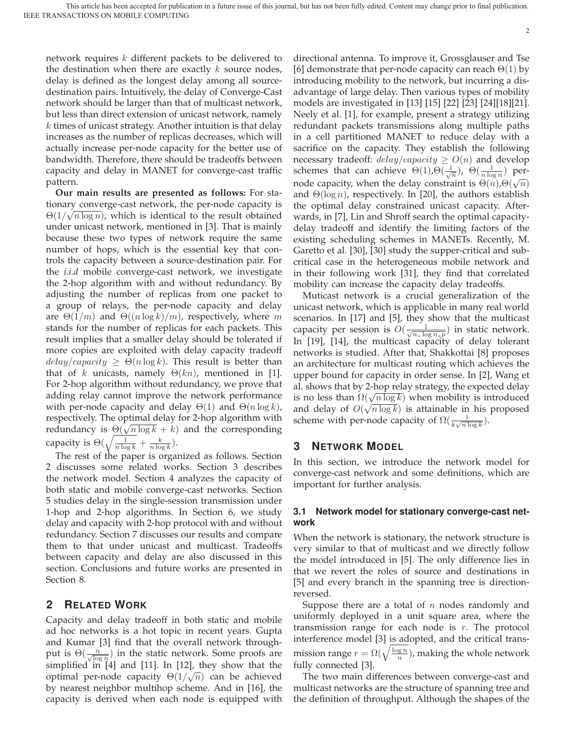network requires k different packets to be delivered to the destination when there are exactly  $k$  source nodes, delay is defined as the longest delay among all sourcedestination pairs. Intuitively, the delay of Converge-Cast network should be larger than that of multicast network, but less than direct extension of unicast network, namely  $k$  times of unicast strategy. Another intuition is that delay increases as the number of replicas decreases, which will actually increase per-node capacity for the better use of bandwidth. Therefore, there should be tradeoffs between capacity and delay in MANET for converge-cast traffic pattern.

**Our main results are presented as follows:** For stationary converge-cast network, the per-node capacity is  $\Theta(1/\sqrt{n \log n})$ , which is identical to the result obtained<br>under unicast network, mentioned in [3]. That is mainly under unicast network, mentioned in [3]. That is mainly because these two types of network require the same number of hops, which is the essential key that controls the capacity between a source-destination pair. For the *i.i.d* mobile converge-cast network, we investigate the 2-hop algorithm with and without redundancy. By adjusting the number of replicas from one packet to a group of relays, the per-node capacity and delay are  $\Theta(1/m)$  and  $\Theta((n \log k)/m)$ , respectively, where m stands for the number of replicas for each packets. This result implies that a smaller delay should be tolerated if more copies are exploited with delay capacity tradeoff  $delay/capacity \geq \Theta(n \log k)$ . This result is better than that of k unicasts, namely  $\Theta(kn)$ , mentioned in [1]. For 2-hop algorithm without redundancy, we prove that adding relay cannot improve the network performance with per-node capacity and delay  $\Theta(1)$  and  $\Theta(n \log k)$ , respectively. The optimal delay for 2-hop algorithm with redundancy is  $\Theta(\sqrt{n \log k} + k)$  and the corresponding capacity is  $\Theta(\sqrt{\frac{1}{n \log k}} + \frac{k}{n \log k})$ .<br>The rest of the nanon is argued.

The rest of the paper is organized as follows. Section 2 discusses some related works. Section 3 describes the network model. Section 4 analyzes the capacity of both static and mobile converge-cast networks. Section 5 studies delay in the single-session transmission under 1-hop and 2-hop algorithms. In Section 6, we study delay and capacity with 2-hop protocol with and without redundancy. Section 7 discusses our results and compare them to that under unicast and multicast. Tradeoffs between capacity and delay are also discussed in this section. Conclusions and future works are presented in Section 8.

# **2 RELATED WORK**

Capacity and delay tradeoff in both static and mobile ad hoc networks is a hot topic in recent years. Gupta and Kumar [3] find that the overall network throughput is  $\Theta(\frac{n}{\sqrt{\log n}})$  in the static network. Some proofs are simplified in [4] and [11] In [12] they show that the simplified in [4] and [11]. In [12], they show that the simplified in [+] and [11]. In [12], they show that the<br>optimal per-node capacity  $\Theta(1/\sqrt{n})$  can be achieved<br>by pearest peigbbor multibon scheme. And in [16], the by nearest neighbor multihop scheme. And in [16], the capacity is derived when each node is equipped with directional antenna. To improve it, Grossglauser and Tse [6] demonstrate that per-node capacity can reach  $\Theta(1)$  by introducing mobility to the network, but incurring a disadvantage of large delay. Then various types of mobility models are investigated in [13] [15] [22] [23] [24][18][21]. Neely et al. [1], for example, present a strategy utilizing redundant packets transmissions along multiple paths in a cell partitioned MANET to reduce delay with a sacrifice on the capacity. They establish the following necessary tradeoff:  $delay/capacity \geq O(n)$  and develop schemes that can achieve  $\Theta(1), \Theta(\frac{1}{\sqrt{n}}), \Theta(\frac{1}{n \log n})$  per-<br>node canceity when the delay contraint is  $\Theta(n)$   $\Theta(\sqrt{n})$ node capacity, when the delay constraint is  $\Theta(n)$ ,  $\Theta(\sqrt{n})$ and  $\Theta(\log n)$ , respectively. In [20], the authors establish the optimal delay constrained unicast capacity. Afterwards, in [7], Lin and Shroff search the optimal capacitydelay tradeoff and identify the limiting factors of the existing scheduling schemes in MANETs. Recently, M. Garetto et al. [30], [30] study the supper-critical and subcritical case in the heterogeneous mobile network and in their following work [31], they find that correlated mobility can increase the capacity delay tradeoffs.

Muticast network is a crucial generalization of the unicast network, which is applicable in many real world scenarios. In [17] and [5], they show that the multicast capacity per session is  $O(\frac{1}{\sqrt{n_s \log n_s p}})$  in static network.<br>In [19], [14], the multicast capacity of delay tolerant networks is studied. After that, Shakkottai [8] proposes an architecture for multicast routing which achieves the upper bound for capacity in order sense. In [2], Wang et al. shows that by 2-hop relay strategy, the expected delay is no less than  $\Omega(\sqrt{n \log k})$  when mobility is introduced and delay of  $O(\sqrt{n \log k})$  is attainable in his proposed<br>scheme with per-pode capacity of  $O(\frac{1}{n \log k})$ scheme with per-node capacity of  $\Omega(\frac{1}{k\sqrt{n\log k}})$ .

# **3 NETWORK MODEL**

In this section, we introduce the network model for converge-cast network and some definitions, which are important for further analysis.

## **3.1 Network model for stationary converge-cast network**

When the network is stationary, the network structure is very similar to that of multicast and we directly follow the model introduced in [5]. The only difference lies in that we revert the roles of source and destinations in [5] and every branch in the spanning tree is directionreversed.

Suppose there are a total of  $n$  nodes randomly and uniformly deployed in a unit square area, where the transmission range for each node is  $r$ . The protocol interference model [3] is adopted, and the critical transmission range  $r = \Omega(\sqrt{\frac{\log n}{n}})$ , making the whole network fully connected [3].

The two main differences between converge-cast and multicast networks are the structure of spanning tree and the definition of throughput. Although the shapes of the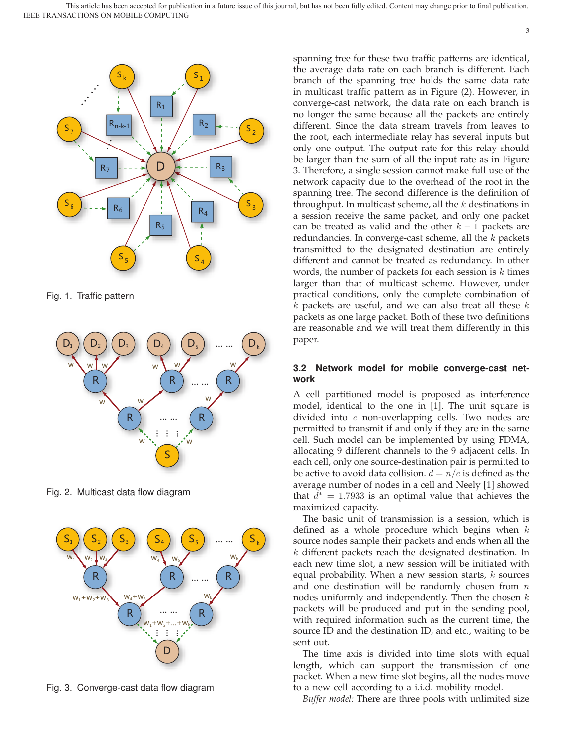

Fig. 1. Traffic pattern



Fig. 2. Multicast data flow diagram



Fig. 3. Converge-cast data flow diagram

spanning tree for these two traffic patterns are identical, the average data rate on each branch is different. Each branch of the spanning tree holds the same data rate in multicast traffic pattern as in Figure (2). However, in converge-cast network, the data rate on each branch is no longer the same because all the packets are entirely different. Since the data stream travels from leaves to the root, each intermediate relay has several inputs but only one output. The output rate for this relay should be larger than the sum of all the input rate as in Figure 3. Therefore, a single session cannot make full use of the network capacity due to the overhead of the root in the spanning tree. The second difference is the definition of throughput. In multicast scheme, all the  $k$  destinations in a session receive the same packet, and only one packet can be treated as valid and the other  $k - 1$  packets are redundancies. In converge-cast scheme, all the  $k$  packets transmitted to the designated destination are entirely different and cannot be treated as redundancy. In other words, the number of packets for each session is  $k$  times larger than that of multicast scheme. However, under practical conditions, only the complete combination of  $k$  packets are useful, and we can also treat all these  $k$ packets as one large packet. Both of these two definitions are reasonable and we will treat them differently in this paper.

3

# **3.2 Network model for mobile converge-cast network**

A cell partitioned model is proposed as interference model, identical to the one in [1]. The unit square is divided into  $c$  non-overlapping cells. Two nodes are permitted to transmit if and only if they are in the same cell. Such model can be implemented by using FDMA, allocating 9 different channels to the 9 adjacent cells. In each cell, only one source-destination pair is permitted to be active to avoid data collision.  $d = n/c$  is defined as the average number of nodes in a cell and Neely [1] showed that  $d^* = 1.7933$  is an optimal value that achieves the maximized capacity.

The basic unit of transmission is a session, which is defined as a whole procedure which begins when  $k$ source nodes sample their packets and ends when all the  $k$  different packets reach the designated destination. In each new time slot, a new session will be initiated with equal probability. When a new session starts,  $k$  sources and one destination will be randomly chosen from  $n$ nodes uniformly and independently. Then the chosen  $k$ packets will be produced and put in the sending pool, with required information such as the current time, the source ID and the destination ID, and etc., waiting to be sent out.

The time axis is divided into time slots with equal length, which can support the transmission of one packet. When a new time slot begins, all the nodes move to a new cell according to a i.i.d. mobility model.

*Buffer model:* There are three pools with unlimited size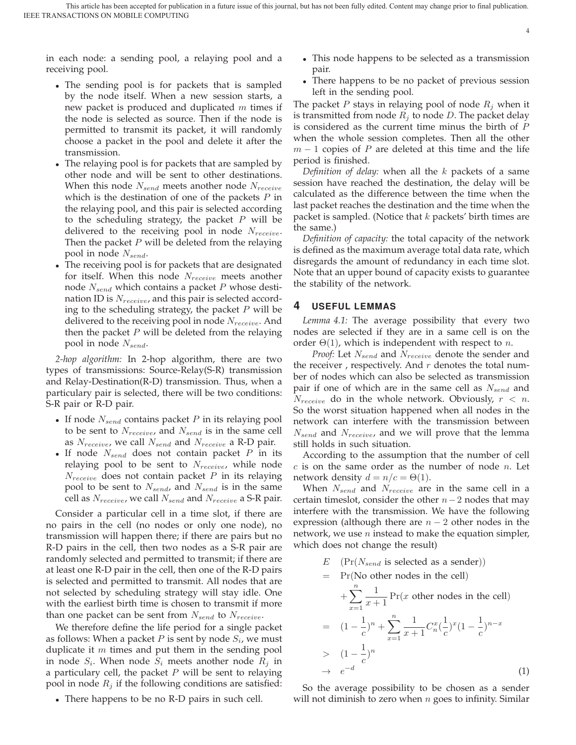in each node: a sending pool, a relaying pool and a receiving pool.

- The sending pool is for packets that is sampled by the node itself. When a new session starts, a new packet is produced and duplicated  $m$  times if the node is selected as source. Then if the node is permitted to transmit its packet, it will randomly choose a packet in the pool and delete it after the transmission.
- The relaying pool is for packets that are sampled by other node and will be sent to other destinations. When this node  $N_{send}$  meets another node  $N_{receive}$ which is the destination of one of the packets  $P$  in the relaying pool, and this pair is selected according to the scheduling strategy, the packet  $P$  will be delivered to the receiving pool in node  $N_{receive}$ . Then the packet  $P$  will be deleted from the relaying pool in node  $N_{send}$ .
- The receiving pool is for packets that are designated for itself. When this node  $N_{receive}$  meets another node  $N_{send}$  which contains a packet P whose destination ID is  $N_{receive}$ , and this pair is selected according to the scheduling strategy, the packet  $P$  will be delivered to the receiving pool in node  $N_{receive}$ . And then the packet  $P$  will be deleted from the relaying pool in node  $N_{send}$ .

*2-hop algorithm:* In 2-hop algorithm, there are two types of transmissions: Source-Relay(S-R) transmission and Relay-Destination(R-D) transmission. Thus, when a particulary pair is selected, there will be two conditions: S-R pair or R-D pair.

- If node  $N_{send}$  contains packet  $P$  in its relaying pool to be sent to  $N_{receive}$ , and  $N_{send}$  is in the same cell as  $N_{receiver}$ , we call  $N_{send}$  and  $N_{receiver}$  a R-D pair.
- If node  $N_{send}$  does not contain packet  $P$  in its relaying pool to be sent to  $N_{receiver}$ , while node  $N_{receive}$  does not contain packet  $P$  in its relaying pool to be sent to  $N_{send}$ , and  $N_{send}$  is in the same cell as  $N_{receive}$ , we call  $N_{send}$  and  $N_{receive}$  a S-R pair.

Consider a particular cell in a time slot, if there are no pairs in the cell (no nodes or only one node), no transmission will happen there; if there are pairs but no R-D pairs in the cell, then two nodes as a S-R pair are randomly selected and permitted to transmit; if there are at least one R-D pair in the cell, then one of the R-D pairs is selected and permitted to transmit. All nodes that are not selected by scheduling strategy will stay idle. One with the earliest birth time is chosen to transmit if more than one packet can be sent from  $N_{send}$  to  $N_{receive}$ .

We therefore define the life period for a single packet as follows: When a packet  $P$  is sent by node  $S_i$ , we must duplicate it  $m$  times and put them in the sending pool in node  $S_i$ . When node  $S_i$  meets another node  $R_j$  in a particulary cell, the packet  $P$  will be sent to relaying pool in node  $R_i$  if the following conditions are satisfied:

• There happens to be no R-D pairs in such cell.

• This node happens to be selected as a transmission pair.

4

• There happens to be no packet of previous session left in the sending pool.

The packet  $P$  stays in relaying pool of node  $R_j$  when it is transmitted from node  $R_i$  to node D. The packet delay is considered as the current time minus the birth of P when the whole session completes. Then all the other  $m - 1$  copies of P are deleted at this time and the life period is finished.

*Definition of delay:* when all the k packets of a same session have reached the destination, the delay will be calculated as the difference between the time when the last packet reaches the destination and the time when the packet is sampled. (Notice that  $k$  packets' birth times are the same.)

*Definition of capacity:* the total capacity of the network is defined as the maximum average total data rate, which disregards the amount of redundancy in each time slot. Note that an upper bound of capacity exists to guarantee the stability of the network.

# **4 USEFUL LEMMAS**

*Lemma 4.1:* The average possibility that every two nodes are selected if they are in a same cell is on the order  $\Theta(1)$ , which is independent with respect to *n*.

*Proof:* Let  $N_{send}$  and  $N_{receive}$  denote the sender and the receiver, respectively. And  $r$  denotes the total number of nodes which can also be selected as transmission pair if one of which are in the same cell as  $N_{send}$  and  $N_{receive}$  do in the whole network. Obviously,  $r < n$ . So the worst situation happened when all nodes in the network can interfere with the transmission between  $N_{send}$  and  $N_{receive}$ , and we will prove that the lemma still holds in such situation.

According to the assumption that the number of cell  $c$  is on the same order as the number of node  $n$ . Let network density  $d = n/c = \Theta(1)$ .

When  $N_{send}$  and  $N_{receive}$  are in the same cell in a certain timeslot, consider the other  $n-2$  nodes that may interfere with the transmission. We have the following expression (although there are  $n - 2$  other nodes in the network, we use  $n$  instead to make the equation simpler, which does not change the result)

 $E$  (Pr( $N_{send}$  is selected as a sender))

 $=$  Pr(No other nodes in the cell)

$$
+\sum_{x=1}^{n} \frac{1}{x+1} \Pr(x \text{ other nodes in the cell})
$$
  
=  $(1 - \frac{1}{c})^n + \sum_{x=1}^{n} \frac{1}{x+1} C_n^x (\frac{1}{c})^x (1 - \frac{1}{c})^{n-x}$   
>  $(1 - \frac{1}{c})^n$   
 $\rightarrow e^{-d}$  (1)

So the average possibility to be chosen as a sender will not diminish to zero when  $n$  goes to infinity. Similar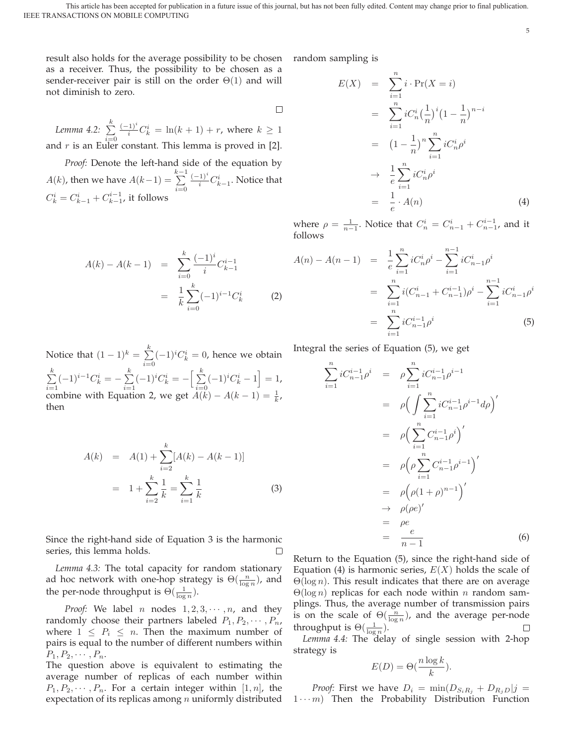IEEE TRANSACTIONS ON MOBILE COMPUTING This article has been accepted for publication in a future issue of this journal, but has not been fully edited. Content may change prior to final publication.

 $\Box$ 

5

result also holds for the average possibility to be chosen as a receiver. Thus, the possibility to be chosen as a sender-receiver pair is still on the order  $\Theta(1)$  and will not diminish to zero.

*Lemma 4.2:*  $\sum_{k=0}^{k} \frac{(-1)^i}{i} C_k^i = \ln(k+1) + r$ , where  $k \ge 1$ and r is an Euler constant. This lemma is proved in [2].

*Proof:* Denote the left-hand side of the equation by *A*(*k*), then we have *A*(*k*-1) =  $\sum_{i=0}^{k-1}$  $\sum_{i=0}$  $\frac{(-1)^i}{i}C_{k-1}^i$ . Notice that  $C_k^i = C_{k-1}^i + C_{k-1}^{i-1}$ , it follows

$$
A(k) - A(k-1) = \sum_{i=0}^{k} \frac{(-1)^i}{i} C_{k-1}^{i-1}
$$

$$
= \frac{1}{k} \sum_{i=0}^{k} (-1)^{i-1} C_k^i \tag{2}
$$

Notice that  $(1 - 1)^k = \sum_{i=0}^k (-1)^i C_k^i = 0$ , hence we obtain  $\sum_{i=0}$  $\sum$ k  $\sum_{i=1}^{k} (-1)^{i-1} C_k^i = -\sum_{i=1}^{k}$ <br>combine with Equati k  $\sum_{i=1}^{k} (-1)^{i} C_{k}^{i} = -\left[\sum_{i=0}^{k} C_{i}\right]$  $\sum_{i=0}^{k} (-1)^{i} C_{k}^{i} - 1 = 1,$ <br>  $A(k) = A(k-1) = 1$ combine with Equation 2, we get  $\AA(\vec{k}) - A(\vec{k} - 1) = \frac{1}{k}$ , then

$$
A(k) = A(1) + \sum_{i=2}^{k} [A(k) - A(k-1)]
$$
  
=  $1 + \sum_{i=2}^{k} \frac{1}{k} = \sum_{i=1}^{k} \frac{1}{k}$  (3)

Since the right-hand side of Equation 3 is the harmonic series, this lemma holds.

*Lemma 4.3:* The total capacity for random stationary ad hoc network with one-hop strategy is  $\Theta(\frac{n}{\log n})$ , and the per node throughout is  $\Theta(\frac{1}{\log n})$ . the per-node throughput is  $\Theta(\frac{1}{\log n})$ .

*Proof:* We label *n* nodes  $1, 2, 3, \cdots, n$ , and they randomly choose their partners labeled  $P_1, P_2, \cdots, P_n$ , where  $1 \leq P_i \leq n$ . Then the maximum number of pairs is equal to the number of different numbers within  $P_1, P_2, \ldots, P_n.$ <br>The question

The question above is equivalent to estimating the average number of replicas of each number within  $P_1, P_2, \dots, P_n$ . For a certain integer within  $[1, n]$ , the expectation of its replices among *n* uniformly distributed expectation of its replicas among  $n$  uniformly distributed random sampling is

$$
E(X) = \sum_{i=1}^{n} i \cdot \Pr(X = i)
$$
  
= 
$$
\sum_{i=1}^{n} iC_n^i \left(\frac{1}{n}\right)^i \left(1 - \frac{1}{n}\right)^{n-i}
$$
  
= 
$$
\left(1 - \frac{1}{n}\right)^n \sum_{i=1}^{n} iC_n^i \rho^i
$$
  

$$
\rightarrow \frac{1}{e} \sum_{i=1}^{n} iC_n^i \rho^i
$$
  
= 
$$
\frac{1}{e} \cdot A(n)
$$
 (4)

where  $\rho = \frac{1}{n-1}$ . Notice that  $C_n^i = C_{n-1}^i + C_{n-1}^{i-1}$ , and it follows follows

$$
A(n) - A(n-1) = \frac{1}{e} \sum_{i=1}^{n} i C_n^i \rho^i - \sum_{i=1}^{n-1} i C_{n-1}^i \rho^i
$$
  

$$
= \sum_{i=1}^{n} i (C_{n-1}^i + C_{n-1}^{i-1}) \rho^i - \sum_{i=1}^{n-1} i C_{n-1}^i \rho^i
$$
  

$$
= \sum_{i=1}^{n} i C_{n-1}^{i-1} \rho^i
$$
(5)

Integral the series of Equation (5), we get

$$
\sum_{i=1}^{n} i C_{n-1}^{i-1} \rho^{i} = \rho \sum_{i=1}^{n} i C_{n-1}^{i-1} \rho^{i-1}
$$
  
\n
$$
= \rho \Big( \int \sum_{i=1}^{n} i C_{n-1}^{i-1} \rho^{i-1} d\rho \Big)'
$$
  
\n
$$
= \rho \Big( \sum_{i=1}^{n} C_{n-1}^{i-1} \rho^{i} \Big)'
$$
  
\n
$$
= \rho \Big( \rho \sum_{i=1}^{n} C_{n-1}^{i-1} \rho^{i-1} \Big)'
$$
  
\n
$$
= \rho \Big( \rho (1+\rho)^{n-1} \Big)'
$$
  
\n
$$
\rightarrow \rho (\rho e)'
$$
  
\n
$$
= \rho e
$$
  
\n
$$
= \frac{e}{n-1}
$$
  
\n(6)

Return to the Equation (5), since the right-hand side of Equation (4) is harmonic series,  $E(X)$  holds the scale of  $\Theta(\log n)$ . This result indicates that there are on average  $\Theta(\log n)$  replicas for each node within n random samplings. Thus, the average number of transmission pairs is on the scale of  $\Theta(\frac{n}{\log n})$ , and the average per-node<br>throughput is  $\Theta(\frac{1}{n})$ throughput is  $\Theta(\frac{1}{\log n})$ .<br>*Lemma 4 4*: The dela

*Lemma 4.4:* The delay of single session with 2-hop strategy is

$$
E(D) = \Theta(\frac{n \log k}{k}).
$$

*Proof:* First we have  $D_i = \min(D_{S_iR_i} + D_{R_iD}|j =$  $1 \cdots m$ ) Then the Probability Distribution Function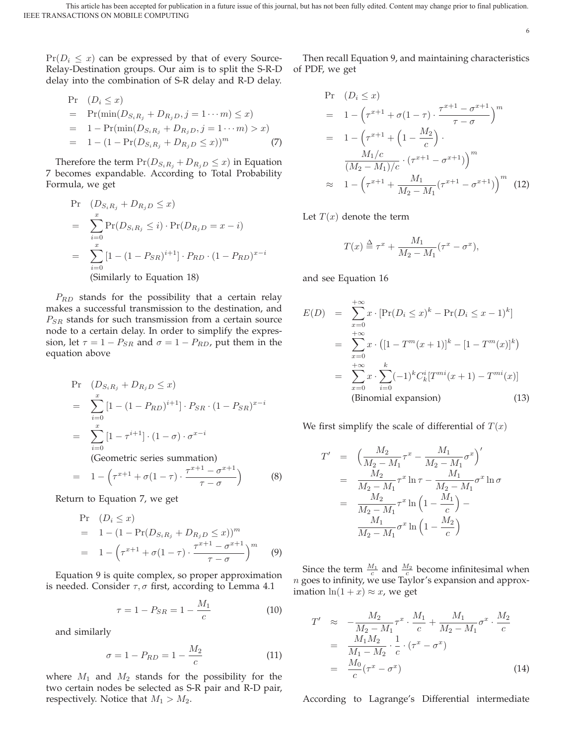$Pr(D_i \leq x)$  can be expressed by that of every Source-Relay-Destination groups. Our aim is to split the S-R-D delay into the combination of S-R delay and R-D delay.

$$
\begin{aligned}\n\Pr \quad & (D_i \leq x) \\
&= \Pr(\min(D_{S_i R_j} + D_{R_j D}, j = 1 \cdots m) \leq x) \\
&= 1 - \Pr(\min(D_{S_i R_j} + D_{R_j D}, j = 1 \cdots m) > x) \\
&= 1 - (1 - \Pr(D_{S_i R_j} + D_{R_j D} \leq x))^m\n\end{aligned}
$$
\n
$$
(7)
$$

Therefore the term  $Pr(D_{S_iR_i} + D_{R_iD} \leq x)$  in Equation 7 becomes expandable. According to Total Probability Formula, we get

$$
\begin{aligned}\n\Pr \quad & (D_{S_i R_j} + D_{R_j D} \leq x) \\
&= \sum_{i=0}^x \Pr(D_{S_i R_j} \leq i) \cdot \Pr(D_{R_j D} = x - i) \\
&= \sum_{i=0}^x \left[ 1 - (1 - P_{SR})^{i+1} \right] \cdot P_{RD} \cdot (1 - P_{RD})^{x - i} \\
& \text{(Similarly to Equation 18)}\n\end{aligned}
$$

 $P_{RD}$  stands for the possibility that a certain relay makes a successful transmission to the destination, and  $P_{SR}$  stands for such transmission from a certain source node to a certain delay. In order to simplify the expression, let  $\tau = 1 - P_{SR}$  and  $\sigma = 1 - P_{RD}$ , put them in the equation above

$$
\begin{aligned}\n\Pr \quad & (D_{S_iR_j} + D_{R_jD} \leq x) \\
&= \sum_{i=0}^{x} [1 - (1 - P_{RD})^{i+1}] \cdot P_{SR} \cdot (1 - P_{SR})^{x-i} \\
&= \sum_{i=0}^{x} [1 - \tau^{i+1}] \cdot (1 - \sigma) \cdot \sigma^{x-i} \\
\text{(Geometric series summation)}\n\end{aligned}
$$

$$
= 1 - \left( \tau^{x+1} + \sigma(1-\tau) \cdot \frac{\tau^{x+1} - \sigma^{x+1}}{\tau - \sigma} \right) \tag{8}
$$

Return to Equation 7, we get

$$
\Pr \left( D_i \le x \right) \n= 1 - (1 - \Pr(D_{S_i R_j} + D_{R_j D} \le x))^m \n= 1 - \left( \tau^{x+1} + \sigma(1-\tau) \cdot \frac{\tau^{x+1} - \sigma^{x+1}}{\tau - \sigma} \right)^m
$$
\n(9)

Equation 9 is quite complex, so proper approximation is needed. Consider  $\tau$ ,  $\sigma$  first, according to Lemma 4.1

$$
\tau = 1 - P_{SR} = 1 - \frac{M_1}{c} \tag{10}
$$

and similarly

$$
\sigma = 1 - P_{RD} = 1 - \frac{M_2}{c} \tag{11}
$$

where  $M_1$  and  $M_2$  stands for the possibility for the two certain nodes be selected as S-R pair and R-D pair, respectively. Notice that  $M_1 > M_2$ .

Then recall Equation 9, and maintaining characteristics of PDF, we get

$$
\begin{aligned}\n\Pr \quad & (D_i \leq x) \\
&= 1 - \left(\tau^{x+1} + \sigma(1-\tau) \cdot \frac{\tau^{x+1} - \sigma^{x+1}}{\tau - \sigma}\right)^m \\
&= 1 - \left(\tau^{x+1} + \left(1 - \frac{M_2}{c}\right) \cdot \frac{M_1/c}{(M_2 - M_1)/c} \cdot (\tau^{x+1} - \sigma^{x+1})\right)^m \\
&\approx 1 - \left(\tau^{x+1} + \frac{M_1}{M_2 - M_1} (\tau^{x+1} - \sigma^{x+1})\right)^m \quad (12)\n\end{aligned}
$$

Let  $T(x)$  denote the term

$$
T(x) \stackrel{\Delta}{=} \tau^x + \frac{M_1}{M_2 - M_1} (\tau^x - \sigma^x),
$$

and see Equation 16

$$
E(D) = \sum_{x=0}^{+\infty} x \cdot [\Pr(D_i \le x)^k - \Pr(D_i \le x - 1)^k]
$$
  
= 
$$
\sum_{x=0}^{+\infty} x \cdot ([1 - T^m(x + 1)]^k - [1 - T^m(x)]^k)
$$
  
= 
$$
\sum_{x=0}^{+\infty} x \cdot \sum_{i=0}^{k} (-1)^k C_k^i [T^{mi}(x + 1) - T^{mi}(x)]
$$
  
(Binomial expansion) (13)

We first simplify the scale of differential of  $T(x)$ 

$$
T' = \left(\frac{M_2}{M_2 - M_1} \tau^x - \frac{M_1}{M_2 - M_1} \sigma^x\right)'
$$
  
= 
$$
\frac{M_2}{M_2 - M_1} \tau^x \ln \tau - \frac{M_1}{M_2 - M_1} \sigma^x \ln \sigma
$$
  
= 
$$
\frac{M_2}{M_2 - M_1} \tau^x \ln \left(1 - \frac{M_1}{c}\right) - \frac{M_1}{M_2 - M_1} \sigma^x \ln \left(1 - \frac{M_2}{c}\right)
$$

Since the term  $\frac{M_1}{c}$  and  $\frac{M_2}{c}$  become infinitesimal when  $n$  goes to infinity, we use Taylor's expansion and approximation  $ln(1 + x) \approx x$ , we get

$$
T' \approx -\frac{M_2}{M_2 - M_1} \tau^x \cdot \frac{M_1}{c} + \frac{M_1}{M_2 - M_1} \sigma^x \cdot \frac{M_2}{c}
$$
  
= 
$$
\frac{M_1 M_2}{M_1 - M_2} \cdot \frac{1}{c} \cdot (\tau^x - \sigma^x)
$$
  
= 
$$
\frac{M_0}{c} (\tau^x - \sigma^x)
$$
 (14)

According to Lagrange's Differential intermediate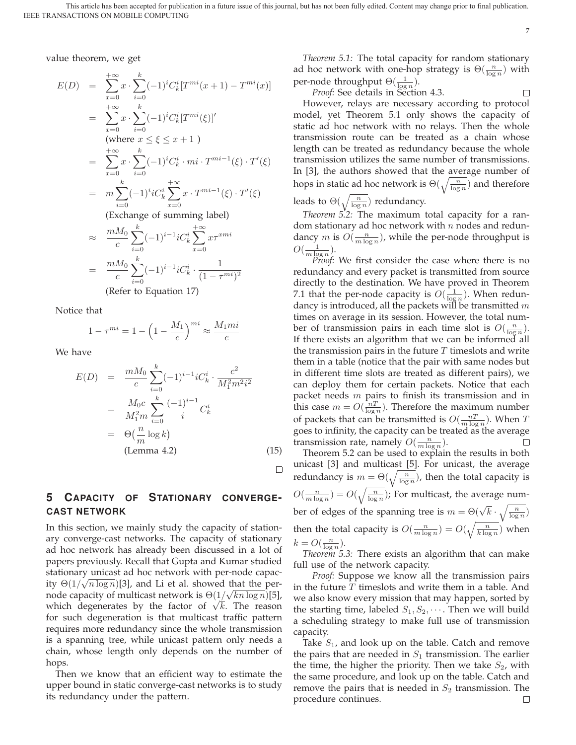7

 $\Box$ 

value theorem, we get

$$
E(D) = \sum_{x=0}^{+\infty} x \cdot \sum_{i=0}^{k} (-1)^{i} C_{k}^{i} [T^{mi}(x+1) - T^{mi}(x)]
$$
  
\n
$$
= \sum_{x=0}^{+\infty} x \cdot \sum_{i=0}^{k} (-1)^{i} C_{k}^{i} [T^{mi}(\xi)]'
$$
  
\n(where  $x \le \xi \le x+1$ )  
\n
$$
= \sum_{x=0}^{+\infty} x \cdot \sum_{i=0}^{k} (-1)^{i} C_{k}^{i} \cdot mi \cdot T^{mi-1}(\xi) \cdot T'(\xi)
$$
  
\n
$$
= m \sum_{i=0}^{k} (-1)^{i} i C_{k}^{i} \sum_{x=0}^{+\infty} x \cdot T^{mi-1}(\xi) \cdot T'(\xi)
$$
  
\n(Exchange of summing label)

$$
\approx \frac{mM_0}{c} \sum_{i=0}^k (-1)^{i-1} i C_k^i \sum_{x=0}^{+\infty} x \tau^{xmi}
$$

$$
= \frac{mM_0}{c} \sum_{i=0}^k (-1)^{i-1} i C_k^i \cdot \frac{1}{(1 - \tau^{mi})^2}
$$
(Refer to Equation 17)

Notice that

$$
1 - \tau^{mi} = 1 - \left(1 - \frac{M_1}{c}\right)^{mi} \approx \frac{M_1 mi}{c}
$$

We have

$$
E(D) = \frac{mM_0}{c} \sum_{i=0}^{k} (-1)^{i-1} i C_k^i \cdot \frac{c^2}{M_1^2 m^2 i^2}
$$
  
= 
$$
\frac{M_0 c}{M_1^2 m} \sum_{i=0}^{k} \frac{(-1)^{i-1}}{i} C_k^i
$$
  
= 
$$
\Theta(\frac{n}{m} \log k)
$$
  
(Lemma 4.2) (15)

 $\Box$ 

# **5 CAPACITY OF STATIONARY CONVERGE-CAST NETWORK**

In this section, we mainly study the capacity of stationary converge-cast networks. The capacity of stationary ad hoc network has already been discussed in a lot of papers previously. Recall that Gupta and Kumar studied stationary unicast ad hoc network with per-node capacstationary unitast at not network with per-note tapacity  $\Theta(1/\sqrt{n \log n})$ [3], and Li et al. showed that the per-<br>node capacity of multicast petwork is  $\Theta(1/\sqrt{kn \log n})$ [5] node capacity of multicast network is  $Θ(1/\sqrt{kn \log n})[5]$ ,<br>which dogenerates by the factor of  $\sqrt{k}$ . The reason mode capacity or multicast network is  $\Theta(1/\sqrt{\kappa n} \log n)$ [5],<br>which degenerates by the factor of  $\sqrt{k}$ . The reason for such degeneration is that multicast traffic pattern requires more redundancy since the whole transmission is a spanning tree, while unicast pattern only needs a chain, whose length only depends on the number of hops.

Then we know that an efficient way to estimate the upper bound in static converge-cast networks is to study its redundancy under the pattern.

*Theorem 5.1:* The total capacity for random stationary ad hoc network with one-hop strategy is  $\Theta(\frac{n}{\log n})$  with per-node throughput  $\Theta(\frac{1}{\log n})$ .<br>*Proof:* See details in Sectic

*Proof:* See details in Section 4.3.

However, relays are necessary according to protocol model, yet Theorem 5.1 only shows the capacity of static ad hoc network with no relays. Then the whole transmission route can be treated as a chain whose length can be treated as redundancy because the whole transmission utilizes the same number of transmissions. In [3], the authors showed that the average number of hops in static ad hoc network is  $\Theta(\sqrt{\frac{n}{\log n}})$  and therefore

leads to  $\Theta(\sqrt{\frac{n}{\log n}})$  redundancy.

*Theorem 5.2:* The maximum total capacity for a random stationary ad hoc network with  $n$  nodes and redundancy *m* is  $O(\frac{n}{m \log n})$ , while the per-node throughput is  $O(\frac{1}{m \log n})$ .<br>*Proof:* We first consider the case where there is no

redundancy and every packet is transmitted from source directly to the destination. We have proved in Theorem 7.1 that the per-node capacity is  $O(\frac{1}{\log n})$ . When redun-<br>dancy is introduced all the packets will be transmitted m dancy is introduced, all the packets will be transmitted  $m$ times on average in its session. However, the total number of transmission pairs in each time slot is  $O(\frac{n}{\log n})$ .<br>If there exists an algorithm that we can be informed all If there exists an algorithm that we can be informed all the transmission pairs in the future  $T$  timeslots and write them in a table (notice that the pair with same nodes but in different time slots are treated as different pairs), we can deploy them for certain packets. Notice that each packet needs  $m$  pairs to finish its transmission and in this case  $m = O(\frac{nT}{\log n})$ . Therefore the maximum number<br>of packets that can be transmitted is  $O(\frac{nT}{\sqrt{n}})$ . When T of packets that can be transmitted is  $O(\frac{nT}{m \log n})$ . When T goes to infinity, the capacity can be treated as the average transmission rate, namely  $O(\frac{n}{m \log n})$ .<br>Theorem 5.2 can be used to explain the results in both

unicast [3] and multicast [5]. For unicast, the average redundancy is  $m = \Theta(\sqrt{\frac{n}{\log n}})$ , then the total capacity is  $O(\frac{n}{m \log n}) = O(\sqrt{\frac{n}{\log n}})$ ; For multicast, the average number of edges of the spanning tree is  $m = \Theta(\sqrt{k} \cdot \sqrt{\frac{n}{\log n}})$ then the total capacity is  $O(\frac{n}{m \log n}) = O(\sqrt{\frac{n}{k \log n}})$  when  $k = O(\frac{n}{\log n}).$ <br>Theorem 5

*Theorem 5.3:* There exists an algorithm that can make full use of the network capacity.

*Proof:* Suppose we know all the transmission pairs in the future  $T$  timeslots and write them in a table. And we also know every mission that may happen, sorted by the starting time, labeled  $S_1, S_2, \cdots$ . Then we will build a scheduling strategy to make full use of transmission capacity.

Take  $S_1$ , and look up on the table. Catch and remove the pairs that are needed in  $S_1$  transmission. The earlier the time, the higher the priority. Then we take  $S_2$ , with the same procedure, and look up on the table. Catch and remove the pairs that is needed in  $S_2$  transmission. The procedure continues. procedure continues.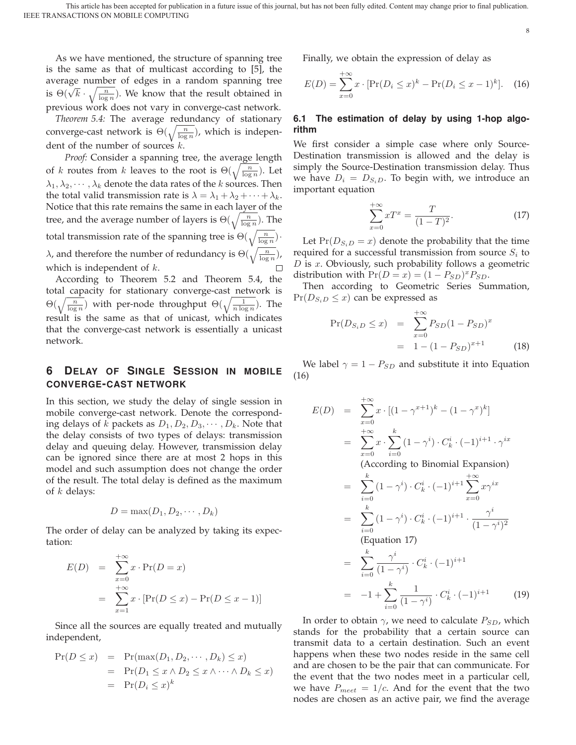8

As we have mentioned, the structure of spanning tree is the same as that of multicast according to [5], the average number of edges in a random spanning tree is  $\Theta(\sqrt{k} \cdot \sqrt{\frac{n}{\log n}})$ . We know that the result obtained in previous work does not vary in converge-cast network.

*Theorem 5.4:* The average redundancy of stationary converge-cast network is  $\Theta(\sqrt{\frac{n}{\log n}})$ , which is independent of the speaking of assumption dent of the number of sources k.

*Proof:* Consider a spanning tree, the average length of k routes from k leaves to the root is  $\Theta(\sqrt{\frac{n}{\log n}})$ . Let  $\lambda_1, \lambda_2, \dots, \lambda_k$  denote the data rates of the k sources. Then the total valid transmission rate is  $\lambda = \lambda_1 + \lambda_2 + \cdots + \lambda_k$ . Notice that this rate remains the same in each layer of the tree, and the average number of layers is  $\Theta(\sqrt{\frac{n}{\log n}})$ . The total transmission rate of the spanning tree is  $\Theta(\sqrt{\frac{n}{\log n}})$ . λ, and therefore the number of redundancy is  $\Theta(\sqrt{\frac{n}{\log n}})$ , which is independent of  $k$ .

According to Theorem 5.2 and Theorem 5.4, the total capacity for stationary converge-cast network is  $\Theta(\sqrt{\frac{n}{\log n}})$  with per-node throughput  $\Theta(\sqrt{\frac{1}{n \log n}})$ . The result is the same as that of unicast, which indicates that the converge-cast network is essentially a unicast network.

# **6 DELAY OF SINGLE SESSION IN MOBILE CONVERGE-CAST NETWORK**

In this section, we study the delay of single session in mobile converge-cast network. Denote the corresponding delays of k packets as  $D_1, D_2, D_3, \cdots, D_k$ . Note that the delay consists of two types of delays: transmission delay and queuing delay. However, transmission delay can be ignored since there are at most 2 hops in this model and such assumption does not change the order of the result. The total delay is defined as the maximum of  $k$  delays:

$$
D=\max(D_1,D_2,\cdots,D_k)
$$

The order of delay can be analyzed by taking its expectation:

$$
E(D) = \sum_{x=0}^{+\infty} x \cdot \Pr(D = x)
$$
  
= 
$$
\sum_{x=1}^{+\infty} x \cdot [\Pr(D \le x) - \Pr(D \le x - 1)]
$$

Since all the sources are equally treated and mutually independent,

$$
Pr(D \le x) = Pr(max(D_1, D_2, \cdots, D_k) \le x)
$$
  
= 
$$
Pr(D_1 \le x \land D_2 \le x \land \cdots \land D_k \le x)
$$
  
= 
$$
Pr(D_i \le x)^k
$$

Finally, we obtain the expression of delay as

$$
E(D) = \sum_{x=0}^{+\infty} x \cdot [\Pr(D_i \le x)^k - \Pr(D_i \le x - 1)^k].
$$
 (16)

# **6.1 The estimation of delay by using 1-hop algorithm**

We first consider a simple case where only Source-Destination transmission is allowed and the delay is simply the Source-Destination transmission delay. Thus we have  $D_i = D_{S_i D}$ . To begin with, we introduce an important equation

$$
\sum_{x=0}^{+\infty} xT^x = \frac{T}{(1-T)^2}.
$$
 (17)

Let  $Pr(D_{S_iD} = x)$  denote the probability that the time required for a successful transmission from source  $S_i$  to  $D$  is  $x$ . Obviously, such probability follows a geometric distribution with  $Pr(D = x) = (1 - P_{SD})^x P_{SD}$ .

Then according to Geometric Series Summation,  $Pr(D_{S_iD} \leq x)$  can be expressed as

$$
Pr(D_{S_i D} \le x) = \sum_{x=0}^{+\infty} P_{SD} (1 - P_{SD})^x
$$
  
= 1 - (1 - P\_{SD})^{x+1} (18)

We label  $\gamma = 1 - P_{SD}$  and substitute it into Equation (16)

$$
E(D) = \sum_{x=0}^{+\infty} x \cdot [(1 - \gamma^{x+1})^k - (1 - \gamma^x)^k]
$$
  
\n
$$
= \sum_{x=0}^{+\infty} x \cdot \sum_{i=0}^k (1 - \gamma^i) \cdot C_k^i \cdot (-1)^{i+1} \cdot \gamma^{ix}
$$
  
\n(According to Binomial Expansion)  
\n
$$
= \sum_{i=0}^k (1 - \gamma^i) \cdot C_k^i \cdot (-1)^{i+1} \sum_{x=0}^{+\infty} x \gamma^{ix}
$$
  
\n
$$
= \sum_{i=0}^k (1 - \gamma^i) \cdot C_k^i \cdot (-1)^{i+1} \cdot \frac{\gamma^i}{(1 - \gamma^i)^2}
$$
  
\n(Equation 17)  
\n
$$
= \sum_{i=0}^k \frac{\gamma^i}{(1 - \gamma^i)} \cdot C_k^i \cdot (-1)^{i+1}
$$
  
\n
$$
= -1 + \sum_{i=0}^k \frac{1}{(1 - \gamma^i)} \cdot C_k^i \cdot (-1)^{i+1}
$$
 (19)

In order to obtain  $\gamma$ , we need to calculate  $P_{SD}$ , which stands for the probability that a certain source can transmit data to a certain destination. Such an event happens when these two nodes reside in the same cell and are chosen to be the pair that can communicate. For the event that the two nodes meet in a particular cell, we have  $P_{meet} = 1/c$ . And for the event that the two nodes are chosen as an active pair, we find the average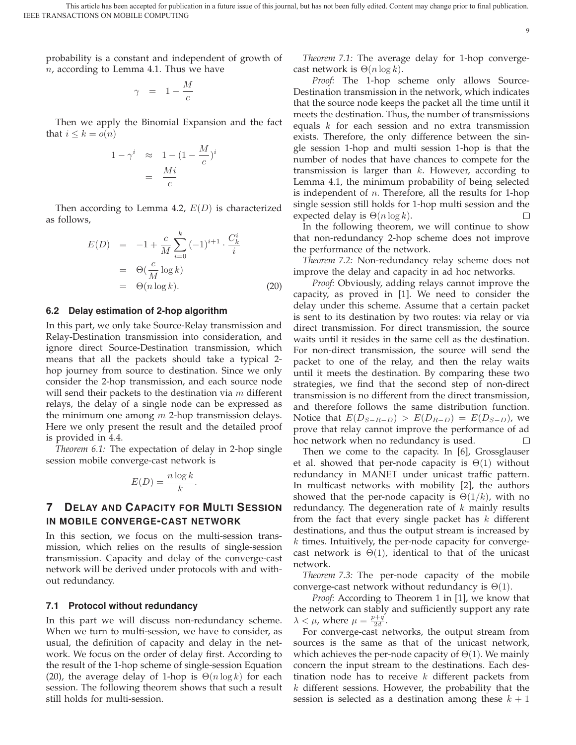probability is a constant and independent of growth of n, according to Lemma 4.1. Thus we have

$$
\gamma \quad = \quad 1 - \frac{M}{c}
$$

Then we apply the Binomial Expansion and the fact that  $i \leq k = o(n)$ 

$$
1 - \gamma^i \approx 1 - (1 - \frac{M}{c})^i
$$

$$
= \frac{Mi}{c}
$$

Then according to Lemma 4.2,  $E(D)$  is characterized as follows,

$$
E(D) = -1 + \frac{c}{M} \sum_{i=0}^{k} (-1)^{i+1} \cdot \frac{C_k^i}{i}
$$
  
= 
$$
\Theta(\frac{c}{M} \log k)
$$
  
= 
$$
\Theta(n \log k).
$$
 (20)

#### **6.2 Delay estimation of 2-hop algorithm**

In this part, we only take Source-Relay transmission and Relay-Destination transmission into consideration, and ignore direct Source-Destination transmission, which means that all the packets should take a typical 2 hop journey from source to destination. Since we only consider the 2-hop transmission, and each source node will send their packets to the destination via  $m$  different relays, the delay of a single node can be expressed as the minimum one among  $m$  2-hop transmission delays. Here we only present the result and the detailed proof is provided in 4.4.

*Theorem 6.1:* The expectation of delay in 2-hop single session mobile converge-cast network is

$$
E(D) = \frac{n \log k}{k}.
$$

# **7 DELAY AND CAPACITY FOR MULTI SESSION IN MOBILE CONVERGE-CAST NETWORK**

In this section, we focus on the multi-session transmission, which relies on the results of single-session transmission. Capacity and delay of the converge-cast network will be derived under protocols with and without redundancy.

#### **7.1 Protocol without redundancy**

In this part we will discuss non-redundancy scheme. When we turn to multi-session, we have to consider, as usual, the definition of capacity and delay in the network. We focus on the order of delay first. According to the result of the 1-hop scheme of single-session Equation (20), the average delay of 1-hop is  $\Theta(n \log k)$  for each session. The following theorem shows that such a result still holds for multi-session.

*Theorem 7.1:* The average delay for 1-hop convergecast network is  $\Theta(n \log k)$ .

 $\overline{Q}$ 

*Proof:* The 1-hop scheme only allows Source-Destination transmission in the network, which indicates that the source node keeps the packet all the time until it meets the destination. Thus, the number of transmissions equals  $k$  for each session and no extra transmission exists. Therefore, the only difference between the single session 1-hop and multi session 1-hop is that the number of nodes that have chances to compete for the transmission is larger than  $k$ . However, according to Lemma 4.1, the minimum probability of being selected is independent of  $n$ . Therefore, all the results for 1-hop single session still holds for 1-hop multi session and the expected delay is  $\Theta(n \log k)$ .  $\Box$ 

In the following theorem, we will continue to show that non-redundancy 2-hop scheme does not improve the performance of the network.

*Theorem 7.2:* Non-redundancy relay scheme does not improve the delay and capacity in ad hoc networks.

*Proof:* Obviously, adding relays cannot improve the capacity, as proved in [1]. We need to consider the delay under this scheme. Assume that a certain packet is sent to its destination by two routes: via relay or via direct transmission. For direct transmission, the source waits until it resides in the same cell as the destination. For non-direct transmission, the source will send the packet to one of the relay, and then the relay waits until it meets the destination. By comparing these two strategies, we find that the second step of non-direct transmission is no different from the direct transmission, and therefore follows the same distribution function. Notice that  $E(D_{S-R-D}) > E(D_{R-D}) = E(D_{S-D})$ , we prove that relay cannot improve the performance of ad hoc network when no redundancy is used.

Then we come to the capacity. In [6], Grossglauser et al. showed that per-node capacity is  $\Theta(1)$  without redundancy in MANET under unicast traffic pattern. In multicast networks with mobility [2], the authors showed that the per-node capacity is  $\Theta(1/k)$ , with no redundancy. The degeneration rate of  $k$  mainly results from the fact that every single packet has  $k$  different destinations, and thus the output stream is increased by  $k$  times. Intuitively, the per-node capacity for convergecast network is  $\Theta(1)$ , identical to that of the unicast network.

*Theorem 7.3:* The per-node capacity of the mobile converge-cast network without redundancy is  $\Theta(1)$ .

*Proof:* According to Theorem 1 in [1], we know that the network can stably and sufficiently support any rate  $\lambda < \mu$ , where  $\mu = \frac{p+q}{2d}$ .<br>For converge-cast n

For converge-cast networks, the output stream from sources is the same as that of the unicast network, which achieves the per-node capacity of  $\Theta(1)$ . We mainly concern the input stream to the destinations. Each destination node has to receive  $k$  different packets from  $k$  different sessions. However, the probability that the session is selected as a destination among these  $k + 1$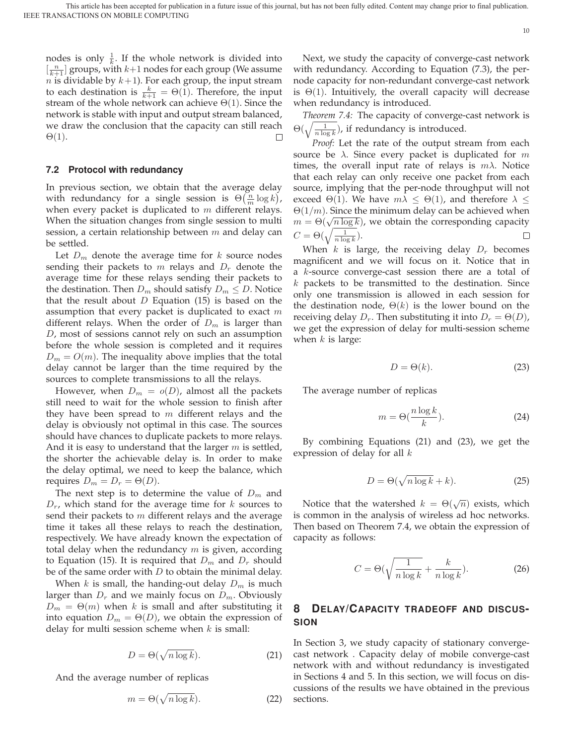10

nodes is only  $\frac{1}{k}$ . If the whole network is divided into  $\left[\frac{n}{k+1}\right]$  groups, with  $k+1$  nodes for each group (We assume *n* is dividable by  $k+1$ ). For each group, the input stream *n* is dividable by  $k+1$ ). For each group, the input stream to each destination is  $\frac{k}{k+1} = \Theta(1)$ . Therefore, the input<br>stream of the whole network can achieve  $\Theta(1)$ . Since the stream of the whole network can achieve  $\Theta(1)$ . Since the network is stable with input and output stream balanced, we draw the conclusion that the capacity can still reach  $\Theta(1)$ . П

#### **7.2 Protocol with redundancy**

In previous section, we obtain that the average delay with redundancy for a single session is  $\Theta(\frac{n}{m} \log k)$ ,<br>when every packet is duplicated to m different relays when every packet is duplicated to  $m$  different relays. When the situation changes from single session to multi session, a certain relationship between  $m$  and delay can be settled.

Let  $D_m$  denote the average time for k source nodes sending their packets to m relays and  $D<sub>r</sub>$  denote the average time for these relays sending their packets to the destination. Then  $D_m$  should satisfy  $D_m \leq D$ . Notice that the result about  $D$  Equation (15) is based on the assumption that every packet is duplicated to exact  $m$ different relays. When the order of  $D_m$  is larger than D, most of sessions cannot rely on such an assumption before the whole session is completed and it requires  $D_m = O(m)$ . The inequality above implies that the total delay cannot be larger than the time required by the sources to complete transmissions to all the relays.

However, when  $D_m = o(D)$ , almost all the packets still need to wait for the whole session to finish after they have been spread to  $m$  different relays and the delay is obviously not optimal in this case. The sources should have chances to duplicate packets to more relays. And it is easy to understand that the larger  $m$  is settled, the shorter the achievable delay is. In order to make the delay optimal, we need to keep the balance, which requires  $D_m = D_r = \Theta(D)$ .

The next step is to determine the value of  $D_m$  and  $D<sub>r</sub>$ , which stand for the average time for k sources to send their packets to  $m$  different relays and the average time it takes all these relays to reach the destination, respectively. We have already known the expectation of total delay when the redundancy  $m$  is given, according to Equation (15). It is required that  $D_m$  and  $D_r$  should be of the same order with  $D$  to obtain the minimal delay.

When  $k$  is small, the handing-out delay  $D_m$  is much larger than  $D_r$  and we mainly focus on  $D_m$ . Obviously  $D_m = \Theta(m)$  when k is small and after substituting it into equation  $D_m = \Theta(D)$ , we obtain the expression of delay for multi session scheme when  $k$  is small:

$$
D = \Theta(\sqrt{n \log k}).\tag{21}
$$

And the average number of replicas

$$
m = \Theta(\sqrt{n \log k}).\tag{22}
$$

Next, we study the capacity of converge-cast network with redundancy. According to Equation (7.3), the pernode capacity for non-redundant converge-cast network is  $\Theta(1)$ . Intuitively, the overall capacity will decrease when redundancy is introduced.

*Theorem 7.4:* The capacity of converge-cast network is  $\Theta(\sqrt{\frac{1}{n \log k}})$ , if redundancy is introduced.

*Proof:* Let the rate of the output stream from each source be  $\lambda$ . Since every packet is duplicated for m times, the overall input rate of relays is  $m\lambda$ . Notice that each relay can only receive one packet from each source, implying that the per-node throughput will not exceed  $\Theta(1)$ . We have  $m\lambda \leq \Theta(1)$ , and therefore  $\lambda \leq$  $\Theta(1/m)$ . Since the minimum delay can be achieved when  $m = \Theta(\sqrt{n \log k})$ , we obtain the corresponding capacity  $C = \Theta(\sqrt{\frac{1}{n \log k}})$ .  $C = \Theta(\sqrt{\frac{1}{n \log k}}).$ 

When k is large, the receiving delay  $D_r$  becomes magnificent and we will focus on it. Notice that in a k-source converge-cast session there are a total of  $k$  packets to be transmitted to the destination. Since only one transmission is allowed in each session for the destination node,  $\Theta(k)$  is the lower bound on the receiving delay  $D_r$ . Then substituting it into  $D_r = \Theta(D)$ , we get the expression of delay for multi-session scheme when  $k$  is large:

$$
D = \Theta(k). \tag{23}
$$

The average number of replicas

$$
m = \Theta\left(\frac{n\log k}{k}\right). \tag{24}
$$

By combining Equations (21) and (23), we get the expression of delay for all  $k$ 

$$
D = \Theta(\sqrt{n \log k} + k). \tag{25}
$$

Notice that the watershed  $k = \Theta(\sqrt{n})$  exists, which is common in the analysis of wireless ad hoc networks. Then based on Theorem 7.4, we obtain the expression of capacity as follows:

$$
C = \Theta\left(\sqrt{\frac{1}{n \log k}} + \frac{k}{n \log k}\right). \tag{26}
$$

# **8 DELAY/CAPACITY TRADEOFF AND DISCUS-SION**

In Section 3, we study capacity of stationary convergecast network . Capacity delay of mobile converge-cast network with and without redundancy is investigated in Sections 4 and 5. In this section, we will focus on discussions of the results we have obtained in the previous sections.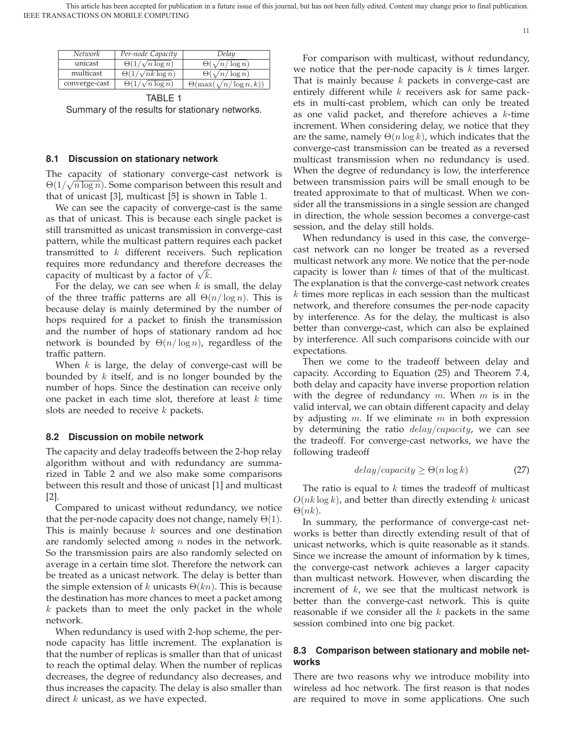| Network       | Per-node Capacity            | Delay                                        |
|---------------|------------------------------|----------------------------------------------|
| unicast       | $\Theta(1/\sqrt{n \log n})$  | $\Theta(\sqrt{n/\log n})$                    |
| multicast     | $\Theta(1/\sqrt{nk \log n})$ | $\Theta(\sqrt{n/\log n})$                    |
| converge-cast | $\Theta(1/\sqrt{n \log n})$  | $\overline{\Theta(\max(\sqrt{n/\log n},k))}$ |
|               |                              |                                              |

TABLE 1 Summary of the results for stationary networks.

#### **8.1 Discussion on stationary network**

The capacity of stationary converge-cast network is The Capacity of stationary converge-cast hetwork is<br> $Θ(1/\sqrt{n \log n})$ . Some comparison between this result and that of unicast [3] multicast [5] is shown in Table 1 that of unicast [3], multicast [5] is shown in Table 1.

We can see the capacity of converge-cast is the same as that of unicast. This is because each single packet is still transmitted as unicast transmission in converge-cast pattern, while the multicast pattern requires each packet transmitted to  $k$  different receivers. Such replication requires more redundancy and therefore decreases the requires more redundancy and therefore capacity of multicast by a factor of  $\sqrt{k}$ .

For the delay, we can see when  $k$  is small, the delay of the three traffic patterns are all  $\Theta(n/\log n)$ . This is because delay is mainly determined by the number of hops required for a packet to finish the transmission and the number of hops of stationary random ad hoc network is bounded by  $\Theta(n/\log n)$ , regardless of the traffic pattern.

When  $k$  is large, the delay of converge-cast will be bounded by  $k$  itself, and is no longer bounded by the number of hops. Since the destination can receive only one packet in each time slot, therefore at least  $k$  time slots are needed to receive  $k$  packets.

#### **8.2 Discussion on mobile network**

The capacity and delay tradeoffs between the 2-hop relay algorithm without and with redundancy are summarized in Table 2 and we also make some comparisons between this result and those of unicast [1] and multicast [2].

Compared to unicast without redundancy, we notice that the per-node capacity does not change, namely  $\Theta(1)$ . This is mainly because  $k$  sources and one destination are randomly selected among  $n$  nodes in the network. So the transmission pairs are also randomly selected on average in a certain time slot. Therefore the network can be treated as a unicast network. The delay is better than the simple extension of k unicasts  $\Theta(kn)$ . This is because the destination has more chances to meet a packet among  $k$  packets than to meet the only packet in the whole network.

When redundancy is used with 2-hop scheme, the pernode capacity has little increment. The explanation is that the number of replicas is smaller than that of unicast to reach the optimal delay. When the number of replicas decreases, the degree of redundancy also decreases, and thus increases the capacity. The delay is also smaller than direct  $k$  unicast, as we have expected.

For comparison with multicast, without redundancy, we notice that the per-node capacity is  $k$  times larger. That is mainly because  $k$  packets in converge-cast are entirely different while  $k$  receivers ask for same packets in multi-cast problem, which can only be treated as one valid packet, and therefore achieves a  $k$ -time increment. When considering delay, we notice that they are the same, namely  $\Theta(n \log k)$ , which indicates that the converge-cast transmission can be treated as a reversed multicast transmission when no redundancy is used. When the degree of redundancy is low, the interference between transmission pairs will be small enough to be treated approximate to that of multicast. When we consider all the transmissions in a single session are changed in direction, the whole session becomes a converge-cast session, and the delay still holds.

When redundancy is used in this case, the convergecast network can no longer be treated as a reversed multicast network any more. We notice that the per-node capacity is lower than  $k$  times of that of the multicast. The explanation is that the converge-cast network creates  $k$  times more replicas in each session than the multicast network, and therefore consumes the per-node capacity by interference. As for the delay, the multicast is also better than converge-cast, which can also be explained by interference. All such comparisons coincide with our expectations.

Then we come to the tradeoff between delay and capacity. According to Equation (25) and Theorem 7.4, both delay and capacity have inverse proportion relation with the degree of redundancy  $m$ . When  $m$  is in the valid interval, we can obtain different capacity and delay by adjusting  $m$ . If we eliminate  $m$  in both expression by determining the ratio  $delay/capacity$ , we can see the tradeoff. For converge-cast networks, we have the following tradeoff

$$
delay/capacity \ge \Theta(n \log k) \tag{27}
$$

The ratio is equal to  $k$  times the tradeoff of multicast  $O(nk \log k)$ , and better than directly extending k unicast  $\Theta(nk)$ .

In summary, the performance of converge-cast networks is better than directly extending result of that of unicast networks, which is quite reasonable as it stands. Since we increase the amount of information by k times, the converge-cast network achieves a larger capacity than multicast network. However, when discarding the increment of  $k$ , we see that the multicast network is better than the converge-cast network. This is quite reasonable if we consider all the  $k$  packets in the same session combined into one big packet.

# **8.3 Comparison between stationary and mobile networks**

There are two reasons why we introduce mobility into wireless ad hoc network. The first reason is that nodes are required to move in some applications. One such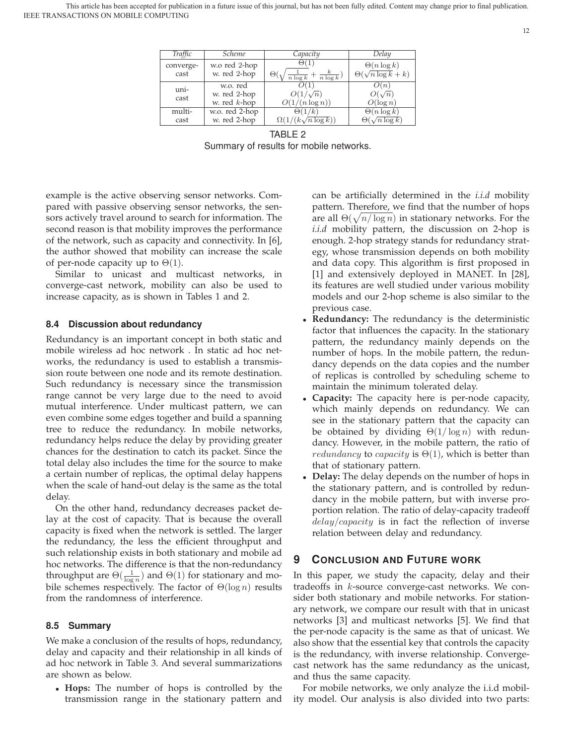| Traffic           | <i>Scheme</i>                               | Capacity                                                                | Delay                                           |  |
|-------------------|---------------------------------------------|-------------------------------------------------------------------------|-------------------------------------------------|--|
| converge-<br>cast | w.o red 2-hop<br>w. red 2-hop               | $\Theta(1)$<br>$\frac{k}{n \log k}$<br>$\Theta$<br>$\frac{1}{n \log k}$ |                                                 |  |
| uni-<br>cast      | w.o. red<br>w. red 2-hop<br>w. red $k$ -hop | O(1)<br>$O(1/\sqrt{n})$<br>$O(1/(n \log n))$                            | O(n)<br>$O(\sqrt{n})$<br>$O(\log n)$            |  |
| multi-<br>cast    | w.o. red 2-hop<br>w. red 2-hop              | $\Theta(1/k)$<br>$\Omega(1/(k\sqrt{n\log k}))$                          | $\Theta(n \log k)$<br>$\Theta(\sqrt{n \log k})$ |  |

TABLE 2 Summary of results for mobile networks.

example is the active observing sensor networks. Compared with passive observing sensor networks, the sensors actively travel around to search for information. The second reason is that mobility improves the performance of the network, such as capacity and connectivity. In [6], the author showed that mobility can increase the scale of per-node capacity up to  $\Theta(1)$ .

Similar to unicast and multicast networks, in converge-cast network, mobility can also be used to increase capacity, as is shown in Tables 1 and 2.

## **8.4 Discussion about redundancy**

Redundancy is an important concept in both static and mobile wireless ad hoc network . In static ad hoc networks, the redundancy is used to establish a transmission route between one node and its remote destination. Such redundancy is necessary since the transmission range cannot be very large due to the need to avoid mutual interference. Under multicast pattern, we can even combine some edges together and build a spanning tree to reduce the redundancy. In mobile networks, redundancy helps reduce the delay by providing greater chances for the destination to catch its packet. Since the total delay also includes the time for the source to make a certain number of replicas, the optimal delay happens when the scale of hand-out delay is the same as the total delay.

On the other hand, redundancy decreases packet delay at the cost of capacity. That is because the overall capacity is fixed when the network is settled. The larger the redundancy, the less the efficient throughput and such relationship exists in both stationary and mobile ad hoc networks. The difference is that the non-redundancy throughput are  $\Theta(\frac{1}{\log n})$  and  $\Theta(1)$  for stationary and mo-<br>bile schemes respectively. The factor of  $\Theta(\log n)$  results bile schemes respectively. The factor of  $\Theta(\log n)$  results from the randomness of interference.

# **8.5 Summary**

We make a conclusion of the results of hops, redundancy, delay and capacity and their relationship in all kinds of ad hoc network in Table 3. And several summarizations are shown as below.

• **Hops:** The number of hops is controlled by the transmission range in the stationary pattern and

can be artificially determined in the *i.i.d* mobility pattern. Therefore, we find that the number of hops are all  $\Theta(\sqrt{n}/\log n)$  in stationary networks. For the *i.i.d* mobility pattern, the discussion on 2-hop is enough. 2-hop strategy stands for redundancy strategy, whose transmission depends on both mobility and data copy. This algorithm is first proposed in [1] and extensively deployed in MANET. In [28], its features are well studied under various mobility models and our 2-hop scheme is also similar to the previous case.

- **Redundancy:** The redundancy is the deterministic factor that influences the capacity. In the stationary pattern, the redundancy mainly depends on the number of hops. In the mobile pattern, the redundancy depends on the data copies and the number of replicas is controlled by scheduling scheme to maintain the minimum tolerated delay.
- **Capacity:** The capacity here is per-node capacity, which mainly depends on redundancy. We can see in the stationary pattern that the capacity can be obtained by dividing  $\Theta(1/\log n)$  with redundancy. However, in the mobile pattern, the ratio of *redundancy* to *capacity* is  $\Theta(1)$ , which is better than that of stationary pattern.
- **Delay:** The delay depends on the number of hops in the stationary pattern, and is controlled by redundancy in the mobile pattern, but with inverse proportion relation. The ratio of delay-capacity tradeoff  $delay/capacity$  is in fact the reflection of inverse relation between delay and redundancy.

# **9 CONCLUSION AND FUTURE WORK**

In this paper, we study the capacity, delay and their tradeoffs in k-source converge-cast networks. We consider both stationary and mobile networks. For stationary network, we compare our result with that in unicast networks [3] and multicast networks [5]. We find that the per-node capacity is the same as that of unicast. We also show that the essential key that controls the capacity is the redundancy, with inverse relationship. Convergecast network has the same redundancy as the unicast, and thus the same capacity.

For mobile networks, we only analyze the i.i.d mobility model. Our analysis is also divided into two parts: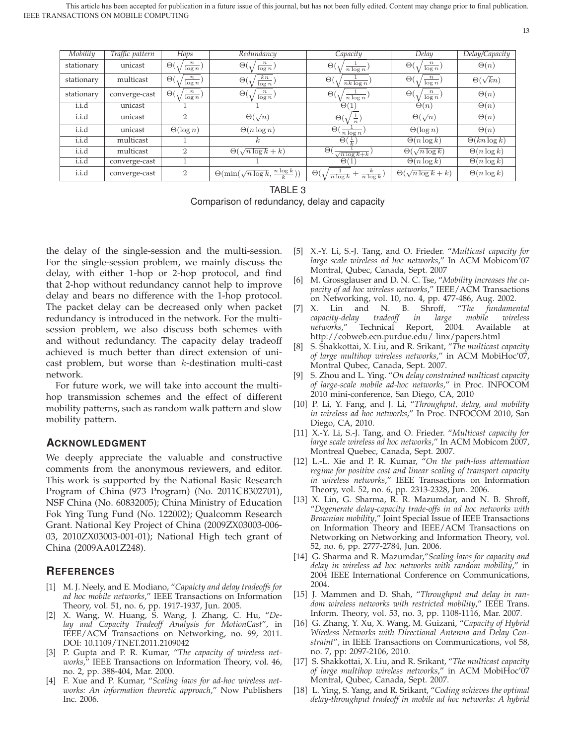IEEE TRANSACTIONS ON MOBILE COMPUTING This article has been accepted for publication in a future issue of this journal, but has not been fully edited. Content may change prior to final publication.

| Mobility   | Traffic pattern | Hops                            | Redundancy                                          | Capacity                                                   | Delay                           | Delay/Capacity      |
|------------|-----------------|---------------------------------|-----------------------------------------------------|------------------------------------------------------------|---------------------------------|---------------------|
| stationary | unicast         | $\frac{n}{\log n}$<br>$\Theta($ | $\frac{n}{\log n}$<br>$\Theta(\sqrt{2})$            | $\Theta({\bf k})$<br>$\overline{n \log n}$                 | $\frac{n}{\log n}$<br>$\Theta($ | $\Theta(n)$         |
| stationary | multicast       | $\frac{n}{\log n}$<br>$\Theta($ | $\frac{kn}{\log n}$<br>$\Theta(\sqrt{2})$           | $\Theta(\sqrt{2})$<br>$\frac{1}{nk \log n}$                | $\frac{n}{\log n}$<br>$\Theta($ | $\Theta(\sqrt{kn})$ |
| stationary | converge-cast   | $\frac{n}{\log n}$<br>$\Theta($ | $\frac{n}{\log n}$<br>$\Theta(\sqrt{2})$            | $\Theta(\sqrt{2})$<br>$\frac{1}{n \log n}$                 | $\frac{n}{\log n}$<br>$\Theta$  | $\Theta(n)$         |
| i.i.d      | unicast         |                                 |                                                     | $\Theta(1)$                                                | $\Theta(n)$                     | $\Theta(n)$         |
| i.i.d      | unicast         | $\overline{2}$                  | $\Theta(\sqrt{n})$                                  | $\Theta(\sqrt{\frac{1}{n}})$                               | $\Theta(\sqrt{n})$              | $\Theta(n)$         |
| i.i.d      | unicast         | $\Theta(\log n)$                | $\Theta(n \log n)$                                  | $\Theta(\frac{1}{n \log n})$                               | $\Theta(\log n)$                | $\Theta(n)$         |
| i.i.d      | multicast       |                                 | $\kappa$                                            | $\Theta(\frac{1}{k})$                                      | $\Theta(n \log k)$              | $\Theta(kn\log k)$  |
| i.i.d      | multicast       | $\overline{2}$                  | $\Theta(\sqrt{n \log k} + k)$                       | $\Theta($<br>$\sqrt{n \log k + k}$                         | $\Theta(\sqrt{n \log k})$       | $\Theta(n \log k)$  |
| i.i.d      | converge-cast   |                                 |                                                     | $\Theta(1)$                                                | $\Theta(n \log k)$              | $\Theta(n \log k)$  |
| i.i.d      | converge-cast   | $\overline{2}$                  | $\Theta(\min(\sqrt{n \log k}, \frac{n \log k}{k}))$ | $\Theta$<br>$\overline{n \log k}$<br>$\overline{n \log k}$ | $\Theta(\sqrt{n}\log k + k)$    | $\Theta(n \log k)$  |
|            |                 |                                 |                                                     |                                                            |                                 |                     |

TABLE 3

Comparison of redundancy, delay and capacity

the delay of the single-session and the multi-session. For the single-session problem, we mainly discuss the delay, with either 1-hop or 2-hop protocol, and find that 2-hop without redundancy cannot help to improve delay and bears no difference with the 1-hop protocol. The packet delay can be decreased only when packet redundancy is introduced in the network. For the multisession problem, we also discuss both schemes with and without redundancy. The capacity delay tradeoff achieved is much better than direct extension of unicast problem, but worse than  $k$ -destination multi-cast network.

For future work, we will take into account the multihop transmission schemes and the effect of different mobility patterns, such as random walk pattern and slow mobility pattern.

# **ACKNOWLEDGMENT**

We deeply appreciate the valuable and constructive comments from the anonymous reviewers, and editor. This work is supported by the National Basic Research Program of China (973 Program) (No. 2011CB302701), NSF China (No. 60832005); China Ministry of Education Fok Ying Tung Fund (No. 122002); Qualcomm Research Grant. National Key Project of China (2009ZX03003-006- 03, 2010ZX03003-001-01); National High tech grant of China (2009AA01Z248).

#### **REFERENCES**

- [1] M. J. Neely, and E. Modiano, "*Capaicty and delay tradeoffs for ad hoc mobile networks*," IEEE Transactions on Information Theory, vol. 51, no. 6, pp. 1917-1937, Jun. 2005.
- [2] X. Wang, W. Huang, S. Wang, J. Zhang, C. Hu, "*Delay and Capacity Tradeoff Analysis for MotionCast*", in IEEE/ACM Transactions on Networking, no. 99, 2011. DOI: 10.1109/TNET.2011.2109042
- [3] P. Gupta and P. R. Kumar, "*The capacity of wireless networks*," IEEE Transactions on Information Theory, vol. 46, no. 2, pp. 388-404, Mar. 2000.
- [4] F. Xue and P. Kumar, "*Scaling laws for ad-hoc wireless networks: An information theoretic approach*," Now Publishers Inc. 2006.
- [5] X.-Y. Li, S.-J. Tang, and O. Frieder. "*Multicast capacity for large scale wireless ad hoc networks*," In ACM Mobicom'07 Montral, Qubec, Canada, Sept. 2007
- [6] M. Grossglauser and D. N. C. Tse, "*Mobility increases the capacity of ad hoc wireless networks*," IEEE/ACM Transactions on Networking, vol. 10, no. 4, pp. 477-486, Aug. 2002.
- [7] X. Lin and N. B. Shroff, "*The fundamental capacity-delay tradeoff in large mobile wireless* <sup>T</sup>echnical Report, 2004. Available at http://cobweb.ecn.purdue.edu/ linx/papers.html
- [8] S. Shakkottai, X. Liu, and R. Srikant, "*The multicast capacity of large multihop wireless networks*," in ACM MobiHoc'07, Montral Qubec, Canada, Sept. 2007.
- [9] S. Zhou and L. Ying. "*On delay constrained multicast capacity of large-scale mobile ad-hoc networks*," in Proc. INFOCOM 2010 mini-conference, San Diego, CA, 2010
- [10] P. Li, Y. Fang, and J. Li, "*Throughput, delay, and mobility in wireless ad hoc networks*," In Proc. INFOCOM 2010, San Diego, CA, 2010.
- [11] X.-Y. Li, S.-J. Tang, and O. Frieder. "*Multicast capacity for large scale wireless ad hoc networks*," In ACM Mobicom 2007, Montreal Quebec, Canada, Sept. 2007.
- [12] L.-L. Xie and P. R. Kumar, "*On the path-loss attenuation regime for positive cost and linear scaling of transport capacity in wireless networks*," IEEE Transactions on Information Theory, vol. 52, no. 6, pp. 2313-2328, Jun. 2006.
- [13] X. Lin, G. Sharma, R. R. Mazumdar, and N. B. Shroff, "*Degenerate delay-capacity trade-offs in ad hoc networks with Brownian mobility*," Joint Special Issue of IEEE Transactions on Information Theory and IEEE/ACM Transactions on Networking on Networking and Information Theory, vol. 52, no. 6, pp. 2777-2784, Jun. 2006.
- [14] G. Sharma and R. Mazumdar,"*Scaling laws for capacity and delay in wireless ad hoc networks with random mobility*," in 2004 IEEE International Conference on Communications, 2004.
- [15] J. Mammen and D. Shah, "*Throughput and delay in random wireless networks with restricted mobility*," IEEE Trans. Inform. Theory, vol. 53, no. 3, pp. 1108-1116, Mar. 2007.
- [16] G. Zhang, Y. Xu, X. Wang, M. Guizani, "*Capacity of Hybrid Wireless Networks with Directional Antenna and Delay Constraint*", in IEEE Transactions on Communications, vol 58, no. 7, pp: 2097-2106, 2010.
- [17] S. Shakkottai, X. Liu, and R. Srikant, "*The multicast capacity of large multihop wireless networks*," in ACM MobiHoc'07 Montral, Qubec, Canada, Sept. 2007.
- [18] L. Ying, S. Yang, and R. Srikant, "*Coding achieves the optimal delay-throughput tradeoff in mobile ad hoc networks: A hybrid*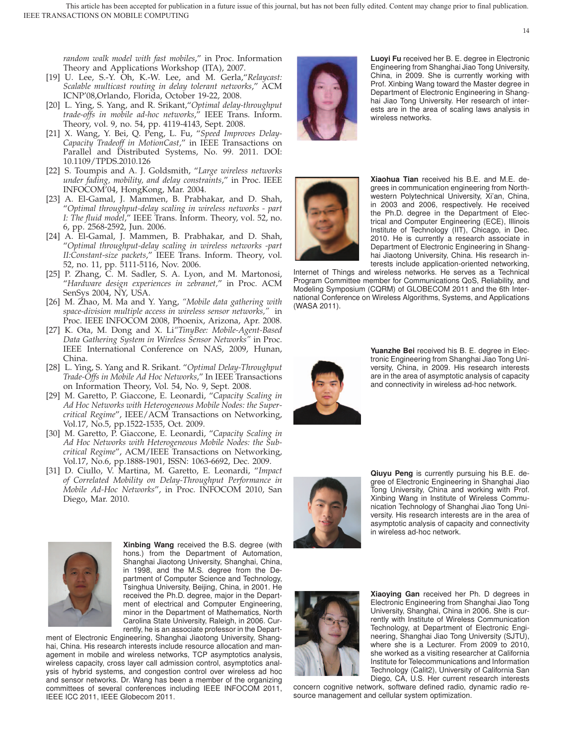*random walk model with fast mobiles*," in Proc. Information Theory and Applications Workshop (ITA), 2007.

- [19] U. Lee, S.-Y. Oh, K.-W. Lee, and M. Gerla,"*Relaycast: Scalable multicast routing in delay tolerant networks*," ACM ICNP'08,Orlando, Florida, October 19-22, 2008.
- [20] L. Ying, S. Yang, and R. Srikant,"*Optimal delay-throughput trade-offs in mobile ad-hoc networks*," IEEE Trans. Inform. Theory, vol. 9, no. 54, pp. 4119-4143, Sept. 2008.
- [21] X. Wang, Y. Bei, Q. Peng, L. Fu, "*Speed Improves Delay-Capacity Tradeoff in MotionCast*," in IEEE Transactions on Parallel and Distributed Systems, No. 99. 2011. DOI: 10.1109/TPDS.2010.126
- [22] S. Toumpis and A. J. Goldsmith, "*Large wireless networks under fading, mobility, and delay constraints*," in Proc. IEEE INFOCOM'04, HongKong, Mar. 2004.
- [23] A. El-Gamal, J. Mammen, B. Prabhakar, and D. Shah, "*Optimal throughput-delay scaling in wireless networks - part I: The fluid model*," IEEE Trans. Inform. Theory, vol. 52, no. 6, pp. 2568-2592, Jun. 2006.
- [24] A. El-Gamal, J. Mammen, B. Prabhakar, and D. Shah, "*Optimal throughput-delay scaling in wireless networks -part II:Constant-size packets*," IEEE Trans. Inform. Theory, vol. 52, no. 11, pp. 5111-5116, Nov. 2006.
- [25] P. Zhang,  $\tilde{C}$ . M. Sadler, S. A. Lyon, and M. Martonosi, "*Hardware design experiences in zebranet,*" in Proc. ACM SenSys 2004, NY, USA.
- [26] M. Zhao, M. Ma and Y. Yang, *"Mobile data gathering with space-division multiple access in wireless sensor networks,"* in Proc. IEEE INFOCOM 2008, Phoenix, Arizona, Apr. 2008.
- [27] K. Ota, M. Dong and X. Li*"TinyBee: Mobile-Agent-Based Data Gathering System in Wireless Sensor Networks"* in Proc. IEEE International Conference on NAS, 2009, Hunan, China.
- [28] L. Ying, S. Yang and R. Srikant. "*Optimal Delay-Throughput Trade-Offs in Mobile Ad Hoc Networks*," In IEEE Transactions on Information Theory, Vol. 54, No. 9, Sept. 2008.
- [29] M. Garetto, P. Giaccone, E. Leonardi, "*Capacity Scaling in Ad Hoc Networks with Heterogeneous Mobile Nodes: the Supercritical Regime*", IEEE/ACM Transactions on Networking, Vol.17, No.5, pp.1522-1535, Oct. 2009.
- [30] M. Garetto, P. Giaccone, E. Leonardi, "*Capacity Scaling in Ad Hoc Networks with Heterogeneous Mobile Nodes: the Subcritical Regime*", ACM/IEEE Transactions on Networking, Vol.17, No.6, pp.1888-1901, ISSN: 1063-6692, Dec. 2009.
- [31] D. Ciullo, V. Martina, M. Garetto, E. Leonardi, "*Impact of Correlated Mobility on Delay-Throughput Performance in Mobile Ad-Hoc Networks*", in Proc. INFOCOM 2010, San Diego, Mar. 2010.



**Xinbing Wang** received the B.S. degree (with hons.) from the Department of Automation, Shanghai Jiaotong University, Shanghai, China, in 1998, and the M.S. degree from the Department of Computer Science and Technology, Tsinghua University, Beijing, China, in 2001. He received the Ph.D. degree, major in the Department of electrical and Computer Engineering, minor in the Department of Mathematics, North Carolina State University, Raleigh, in 2006. Currently, he is an associate professor in the Depart-

ment of Electronic Engineering, Shanghai Jiaotong University, Shanghai, China. His research interests include resource allocation and management in mobile and wireless networks, TCP asymptotics analysis, wireless capacity, cross layer call admission control, asymptotics analysis of hybrid systems, and congestion control over wireless ad hoc and sensor networks. Dr. Wang has been a member of the organizing committees of several conferences including IEEE INFOCOM 2011, IEEE ICC 2011, IEEE Globecom 2011.



**Luoyi Fu** received her B. E. degree in Electronic Engineering from Shanghai Jiao Tong University, China, in 2009. She is currently working with Prof. Xinbing Wang toward the Master degree in Department of Electronic Engineering in Shanghai Jiao Tong University. Her research of interests are in the area of scaling laws analysis in wireless networks.



**Xiaohua Tian** received his B.E. and M.E. degrees in communication engineering from Northwestern Polytechnical University, Xi'an, China, in 2003 and 2006, respectively. He received the Ph.D. degree in the Department of Electrical and Computer Engineering (ECE), Illinois Institute of Technology (IIT), Chicago, in Dec. 2010. He is currently a research associate in Department of Electronic Engineering in Shanghai Jiaotong University, China. His research interests include application-oriented networking,

Internet of Things and wireless networks. He serves as a Technical Program Committee member for Communications QoS, Reliability, and Modeling Symposium (CQRM) of GLOBECOM 2011 and the 6th International Conference on Wireless Algorithms, Systems, and Applications (WASA 2011).



**Yuanzhe Bei** received his B. E. degree in Electronic Engineering from Shanghai Jiao Tong University, China, in 2009. His research interests are in the area of asymptotic analysis of capacity and connectivity in wireless ad-hoc network.



**Qiuyu Peng** is currently pursuing his B.E. degree of Electronic Engineering in Shanghai Jiao Tong University, China and working with Prof. Xinbing Wang in Institute of Wireless Communication Technology of Shanghai Jiao Tong University. His research interests are in the area of asymptotic analysis of capacity and connectivity in wireless ad-hoc network.



**Xiaoying Gan** received her Ph. D degrees in Electronic Engineering from Shanghai Jiao Tong University, Shanghai, China in 2006. She is currently with Institute of Wireless Communication Technology, at Department of Electronic Engineering, Shanghai Jiao Tong University (SJTU), where she is a Lecturer. From 2009 to 2010, she worked as a visiting researcher at California Institute for Telecommunications and Information Technology (Calit2), University of California San Diego, CA, U.S. Her current research interests

concern cognitive network, software defined radio, dynamic radio resource management and cellular system optimization.